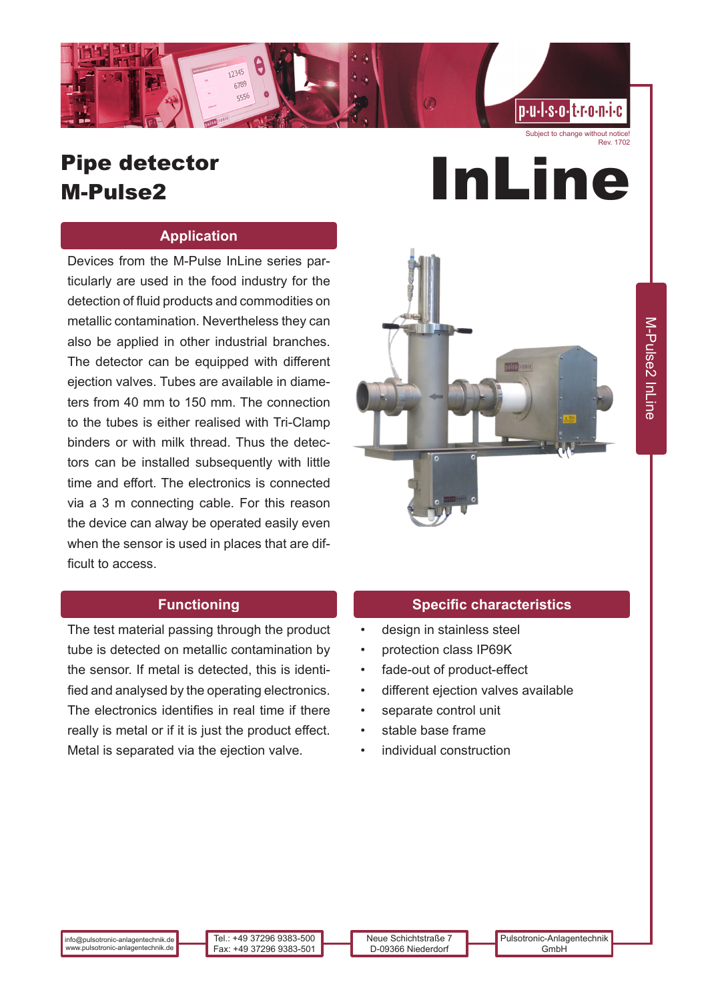

#### Subject to change without notice! Rev. 1702

# Pipe detector Pipe detector<br>M-Pulse2 **InLine**

### **Application**

Devices from the M-Pulse InLine series particularly are used in the food industry for the detection of fluid products and commodities on metallic contamination. Nevertheless they can also be applied in other industrial branches. The detector can be equipped with different ejection valves. Tubes are available in diameters from 40 mm to 150 mm. The connection to the tubes is either realised with Tri-Clamp binders or with milk thread. Thus the detectors can be installed subsequently with little time and effort. The electronics is connected via a 3 m connecting cable. For this reason the device can alway be operated easily even when the sensor is used in places that are difficult to access.



## **Functioning**

The test material passing through the product tube is detected on metallic contamination by the sensor. If metal is detected, this is identified and analysed by the operating electronics. The electronics identifies in real time if there really is metal or if it is just the product effect. Metal is separated via the ejection valve.

#### **Specific characteristics**

- design in stainless steel
- protection class IP69K
- fade-out of product-effect
- different ejection valves available
- separate control unit
- stable base frame
- individual construction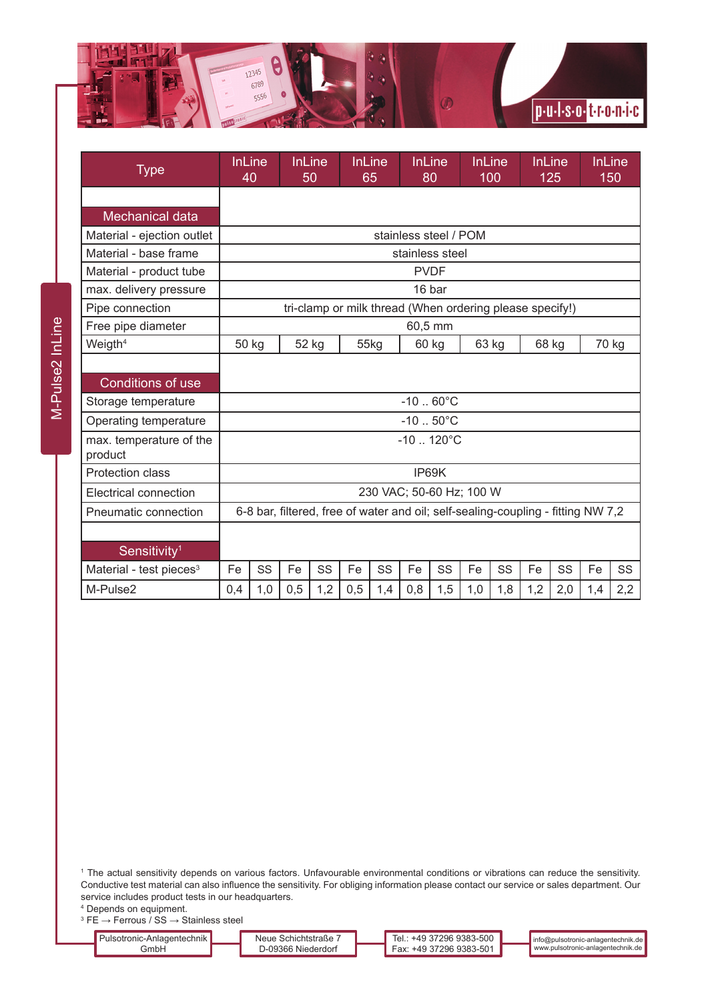

| <b>Type</b>                        | <b>InLine</b><br>40                                                              |     | <b>InLine</b><br>50 |     | 65   | <b>InLine</b> | <b>InLine</b><br>80 |     | <b>InLine</b><br>100 |     |     | <b>InLine</b><br>125 | 150   | <b>InLine</b> |
|------------------------------------|----------------------------------------------------------------------------------|-----|---------------------|-----|------|---------------|---------------------|-----|----------------------|-----|-----|----------------------|-------|---------------|
|                                    |                                                                                  |     |                     |     |      |               |                     |     |                      |     |     |                      |       |               |
| <b>Mechanical data</b>             |                                                                                  |     |                     |     |      |               |                     |     |                      |     |     |                      |       |               |
| Material - ejection outlet         | stainless steel / POM                                                            |     |                     |     |      |               |                     |     |                      |     |     |                      |       |               |
| Material - base frame              | stainless steel                                                                  |     |                     |     |      |               |                     |     |                      |     |     |                      |       |               |
| Material - product tube            | <b>PVDF</b>                                                                      |     |                     |     |      |               |                     |     |                      |     |     |                      |       |               |
| max. delivery pressure             | 16 bar                                                                           |     |                     |     |      |               |                     |     |                      |     |     |                      |       |               |
| Pipe connection                    | tri-clamp or milk thread (When ordering please specify!)                         |     |                     |     |      |               |                     |     |                      |     |     |                      |       |               |
| Free pipe diameter                 | 60,5 mm                                                                          |     |                     |     |      |               |                     |     |                      |     |     |                      |       |               |
| Weigth <sup>4</sup>                | 50 kg                                                                            |     | 52 kg               |     | 55kg |               | 60 kg               |     | 63 kg                |     |     | 68 kg                | 70 kg |               |
|                                    |                                                                                  |     |                     |     |      |               |                     |     |                      |     |     |                      |       |               |
| <b>Conditions of use</b>           |                                                                                  |     |                     |     |      |               |                     |     |                      |     |     |                      |       |               |
| Storage temperature                | $-10.60^{\circ}$ C                                                               |     |                     |     |      |               |                     |     |                      |     |     |                      |       |               |
| Operating temperature              | $-10$ $50^{\circ}$ C                                                             |     |                     |     |      |               |                     |     |                      |     |     |                      |       |               |
| max. temperature of the<br>product | $-10$ 120 $^{\circ}$ C                                                           |     |                     |     |      |               |                     |     |                      |     |     |                      |       |               |
| <b>Protection class</b>            | IP69K                                                                            |     |                     |     |      |               |                     |     |                      |     |     |                      |       |               |
| Electrical connection              | 230 VAC; 50-60 Hz; 100 W                                                         |     |                     |     |      |               |                     |     |                      |     |     |                      |       |               |
| Pneumatic connection               | 6-8 bar, filtered, free of water and oil; self-sealing-coupling - fitting NW 7,2 |     |                     |     |      |               |                     |     |                      |     |     |                      |       |               |
|                                    |                                                                                  |     |                     |     |      |               |                     |     |                      |     |     |                      |       |               |
| Sensitivity <sup>1</sup>           |                                                                                  |     |                     |     |      |               |                     |     |                      |     |     |                      |       |               |
| Material - test pieces $3$         | Fe                                                                               | SS  | Fe                  | SS  | Fe   | SS            | Fe                  | SS  | Fe                   | SS  | Fe  | SS                   | Fe    | SS            |
| M-Pulse2                           | 0,4                                                                              | 1,0 | 0,5                 | 1,2 | 0,5  | 1,4           | 0,8                 | 1,5 | 1,0                  | 1,8 | 1,2 | 2,0                  | 1,4   | 2,2           |

1 The actual sensitivity depends on various factors. Unfavourable environmental conditions or vibrations can reduce the sensitivity. Conductive test material can also influence the sensitivity. For obliging information please contact our service or sales department. Our service includes product tests in our headquarters.

4 Depends on equipment.

 $^3$  FE  $\rightarrow$  Ferrous / SS  $\rightarrow$  Stainless steel

| Pulsotronic-Anlagentechnik l | Neue Schichtstraße  | : +49 37296 9383-500<br>Tel | $\blacksquare$ into (a) pulsotronic-anlagentechnik.de |
|------------------------------|---------------------|-----------------------------|-------------------------------------------------------|
| Gmb⊦                         | o.9366 Niederdorf ה | ົ Fax: +49 37296 9383-501 ⊾ | ■ www.pulsotronic-anlagentechnik.de L                 |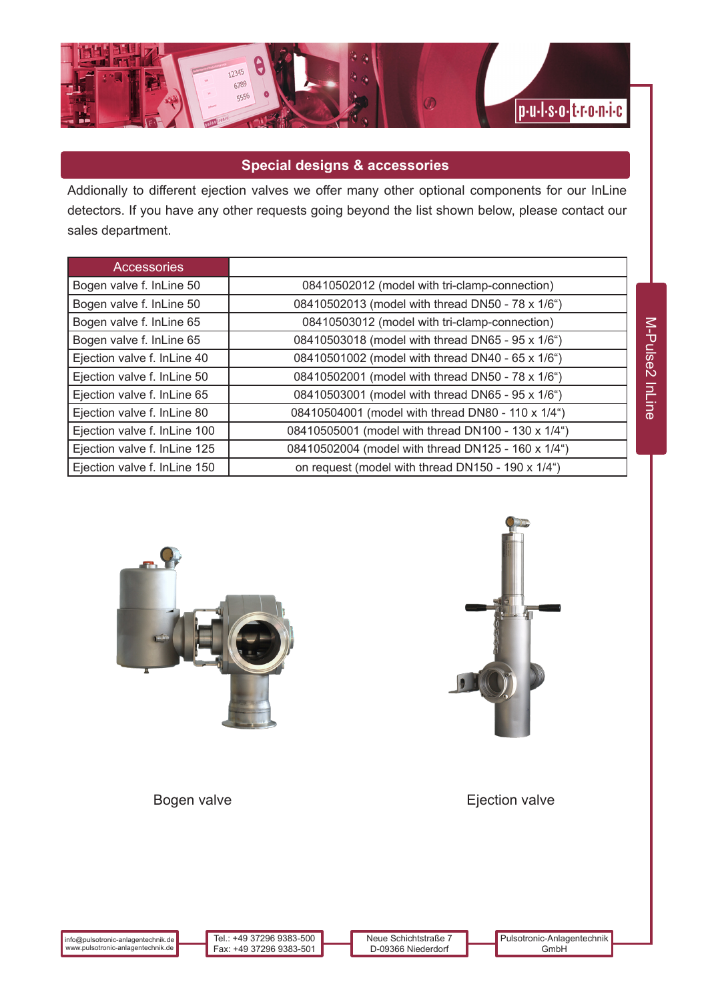

# **Special designs & accessories**

Addionally to different ejection valves we offer many other optional components for our InLine detectors. If you have any other requests going beyond the list shown below, please contact our sales department.

| <b>Accessories</b>           |                                                    |
|------------------------------|----------------------------------------------------|
| Bogen valve f. InLine 50     | 08410502012 (model with tri-clamp-connection)      |
| Bogen valve f. InLine 50     | 08410502013 (model with thread DN50 - 78 x 1/6")   |
| Bogen valve f. InLine 65     | 08410503012 (model with tri-clamp-connection)      |
| Bogen valve f. InLine 65     | 08410503018 (model with thread DN65 - 95 x 1/6")   |
| Ejection valve f. InLine 40  | 08410501002 (model with thread DN40 - 65 x 1/6")   |
| Ejection valve f. InLine 50  | 08410502001 (model with thread DN50 - 78 x 1/6")   |
| Ejection valve f. InLine 65  | 08410503001 (model with thread DN65 - 95 x 1/6")   |
| Ejection valve f. InLine 80  | 08410504001 (model with thread DN80 - 110 x 1/4")  |
| Ejection valve f. InLine 100 | 08410505001 (model with thread DN100 - 130 x 1/4") |
| Ejection valve f. InLine 125 | 08410502004 (model with thread DN125 - 160 x 1/4") |
| Ejection valve f. InLine 150 | on request (model with thread DN150 - 190 x 1/4")  |





Bogen valve **Exercise Exercise Exercise Exercise** Ejection valve

info@pulsotronic-anlagentechnik.de www.pulsotronic-anlagentechnik.de

Tel.: +49 37296 9383-500 Fax: +49 37296 9383-501

Neue Schichtstraße 7 D-09366 Niederdorf Pulsotronic-Anlagentechnik GmbH